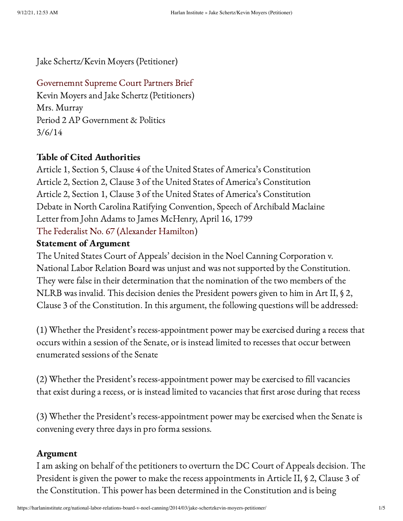Jake Schertz/Kevin Moyers (Petitioner)

# [Governemnt](https://harlaninstitute.org/wp-content/uploads/2014/03/Governemnt-Supreme-Court-Partners-Brief.docx) Supreme Court Partners Brief

Kevin Moyers and Jake Schertz (Petitioners) Mrs. Murray Period 2 AP Government & Politics 3/6/14

# Table of Cited Authorities

Article 1, Section 5, Clause 4 of the United States of America's Constitution Article 2, Section 2, Clause 3 of the United States of America's Constitution Article 2, Section 1, Clause 3 of the United States of America's Constitution Debate in North Carolina Ratifying Convention, Speech of Archibald Maclaine Letter from John Adams to James McHenry, April 16, 1799 The Federalist No. 67 [\(Alexander](http://consource.org/document/the-federalist-no-67-1788-3-11/) Hamilton)

## Statement of Argument

The United States Court of Appeals' decision in the Noel Canning Corporation v. National Labor Relation Board was unjust and was not supported by the Constitution. They were false in their determination that the nomination of the two members of the NLRB was invalid. This decision denies the President powers given to him in Art II, § 2, Clause 3 of the Constitution. In this argument, the following questions will be addressed:

(1) Whether the President's recess-appointment power may be exercised during a recess that occurs within a session of the Senate, or is instead limited to recesses that occur between enumerated sessions of the Senate

(2) Whether the President's recess-appointment power may be exercised to fill vacancies that exist during a recess, or is instead limited to vacancies that first arose during that recess

(3) Whether the President's recess-appointment power may be exercised when the Senate is convening every three days in pro forma sessions.

## Argument

I am asking on behalf of the petitioners to overturn the DC Court of Appeals decision. The President is given the power to make the recess appointments in Article II, § 2, Clause 3 of the Constitution. This power has been determined in the Constitution and is being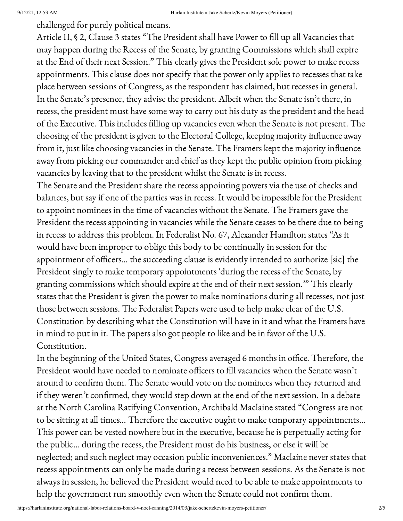challenged for purely political means.

Article II, § 2, Clause 3 states "The President shall have Power to fill up all Vacancies that may happen during the Recess of the Senate, by granting Commissions which shall expire at the End of their next Session." This clearly gives the President sole power to make recess appointments. This clause does not specify that the power only applies to recesses that take place between sessions of Congress, as the respondent has claimed, but recesses in general. In the Senate's presence, they advise the president. Albeit when the Senate isn't there, in recess, the president must have some way to carry out his duty as the president and the head of the Executive. This includes filling up vacancies even when the Senate is not present. The choosing of the president is given to the Electoral College, keeping majority influence away from it, just like choosing vacancies in the Senate. The Framers kept the majority influence away from picking our commander and chief as they kept the public opinion from picking vacancies by leaving that to the president whilst the Senate is in recess.

The Senate and the President share the recess appointing powers via the use of checks and balances, but say if one of the parties was in recess. It would be impossible for the President to appoint nominees in the time of vacancies without the Senate. The Framers gave the President the recess appointing in vacancies while the Senate ceases to be there due to being in recess to address this problem. In Federalist No. 67, Alexander Hamilton states "As it would have been improper to oblige this body to be continually in session for the appointment of officers… the succeeding clause is evidently intended to authorize [sic] the President singly to make temporary appointments 'during the recess of the Senate, by granting commissions which should expire at the end of their next session.'" This clearly states that the President is given the power to make nominations during all recesses, not just those between sessions. The Federalist Papers were used to help make clear of the U.S. Constitution by describing what the Constitution will have in it and what the Framers have in mind to put in it. The papers also got people to like and be in favor of the U.S. Constitution.

In the beginning of the United States, Congress averaged 6 months in office. Therefore, the President would have needed to nominate officers to fill vacancies when the Senate wasn't around to confirm them. The Senate would vote on the nominees when they returned and if they weren't confirmed, they would step down at the end of the next session. In a debate at the North Carolina Ratifying Convention, Archibald Maclaine stated "Congress are not to be sitting at all times… Therefore the executive ought to make temporary appointments… This power can be vested nowhere but in the executive, because he is perpetually acting for the public… during the recess, the President must do his business, or else it will be neglected; and such neglect may occasion public inconveniences." Maclaine never states that recess appointments can only be made during a recess between sessions. As the Senate is not always in session, he believed the President would need to be able to make appointments to help the government run smoothly even when the Senate could not confirm them.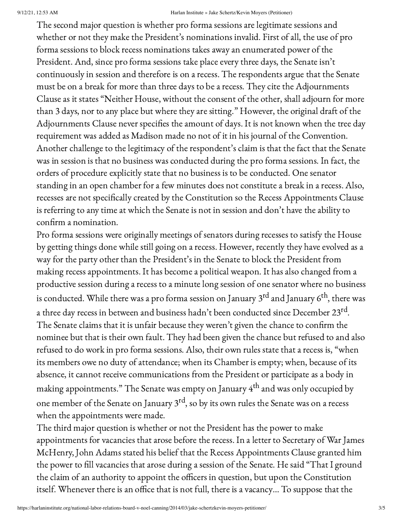### 9/12/21, 12:53 AM Harlan Institute » Jake Schertz/Kevin Moyers (Petitioner)

The second major question is whether pro forma sessions are legitimate sessions and whether or not they make the President's nominations invalid. First of all, the use of pro forma sessions to block recess nominations takes away an enumerated power of the President. And, since pro forma sessions take place every three days, the Senate isn't continuously in session and therefore is on a recess. The respondents argue that the Senate must be on a break for more than three days to be a recess. They cite the Adjournments Clause as it states "Neither House, without the consent of the other, shall adjourn for more than 3 days, nor to any place but where they are sitting." However, the original draft of the Adjournments Clause never specifies the amount of days. It is not known when the tree day requirement was added as Madison made no not of it in his journal of the Convention. Another challenge to the legitimacy of the respondent's claim is that the fact that the Senate was in session is that no business was conducted during the pro forma sessions. In fact, the orders of procedure explicitly state that no business is to be conducted. One senator standing in an open chamber for a few minutes does not constitute a break in a recess. Also, recesses are not specifically created by the Constitution so the Recess Appointments Clause is referring to any time at which the Senate is not in session and don't have the ability to confirm a nomination.

Pro forma sessions were originally meetings of senators during recesses to satisfy the House by getting things done while still going on a recess. However, recently they have evolved as a way for the party other than the President's in the Senate to block the President from making recess appointments. It has become a political weapon. It has also changed from a productive session during a recess to a minute long session of one senator where no business is conducted. While there was a pro forma session on January 3<sup>rd</sup> and January 6<sup>th</sup>, there was a three day recess in between and business hadn't been conducted since December 23 $^{\text{rd}}$ . The Senate claims that it is unfair because they weren't given the chance to confirm the nominee but that is their own fault. They had been given the chance but refused to and also refused to do work in pro forma sessions. Also, their own rules state that a recess is, "when its members owe no duty of attendance; when its Chamber is empty; when, because of its absence, it cannot receive communications from the President or participate as a body in making appointments." The Senate was empty on January  $4^{\text{th}}$  and was only occupied by one member of the Senate on January  $3^{\text{rd}}$ , so by its own rules the Senate was on a recess when the appointments were made.

The third major question is whether or not the President has the power to make appointments for vacancies that arose before the recess. In a letter to Secretary of War James McHenry, John Adams stated his belief that the Recess Appointments Clause granted him the power to fill vacancies that arose during a session of the Senate. He said "That I ground the claim of an authority to appoint the officers in question, but upon the Constitution itself. Whenever there is an office that is not full, there is a vacancy… To suppose that the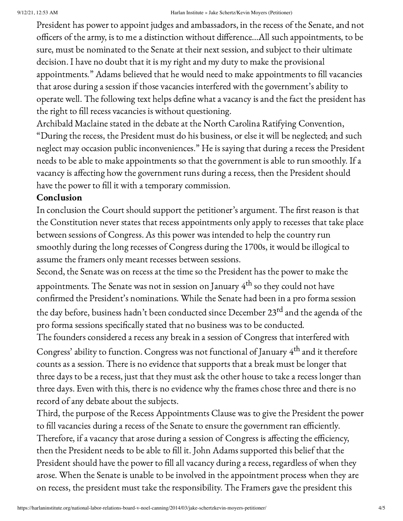### 9/12/21, 12:53 AM Harlan Institute » Jake Schertz/Kevin Moyers (Petitioner)

President has power to appoint judges and ambassadors, in the recess of the Senate, and not officers of the army, is to me a distinction without difference…All such appointments, to be sure, must be nominated to the Senate at their next session, and subject to their ultimate decision. I have no doubt that it is my right and my duty to make the provisional appointments." Adams believed that he would need to make appointments to fill vacancies that arose during a session if those vacancies interfered with the government's ability to operate well. The following text helps define what a vacancy is and the fact the president has the right to fill recess vacancies is without questioning.

Archibald Maclaine stated in the debate at the North Carolina Ratifying Convention, "During the recess, the President must do his business, or else it will be neglected; and such neglect may occasion public inconveniences." He is saying that during a recess the President needs to be able to make appointments so that the government is able to run smoothly. If a vacancy is affecting how the government runs during a recess, then the President should have the power to fill it with a temporary commission.

## Conclusion

In conclusion the Court should support the petitioner's argument. The first reason is that the Constitution never states that recess appointments only apply to recesses that take place between sessions of Congress. As this power was intended to help the country run smoothly during the long recesses of Congress during the 1700s, it would be illogical to assume the framers only meant recesses between sessions.

Second, the Senate was on recess at the time so the President has the power to make the appointments. The Senate was not in session on January  $4^{\text{th}}$  so they could not have confirmed the President's nominations. While the Senate had been in a pro forma session the day before, business hadn't been conducted since December 23<sup>rd</sup> and the agenda of the pro forma sessions specifically stated that no business was to be conducted.

The founders considered a recess any break in a session of Congress that interfered with Congress' ability to function. Congress was not functional of January  $4^{\text{th}}$  and it therefore counts as a session. There is no evidence that supports that a break must be longer that three days to be a recess, just that they must ask the other house to take a recess longer than three days. Even with this, there is no evidence why the frames chose three and there is no record of any debate about the subjects.

Third, the purpose of the Recess Appointments Clause was to give the President the power to fill vacancies during a recess of the Senate to ensure the government ran efficiently. Therefore, if a vacancy that arose during a session of Congress is affecting the efficiency, then the President needs to be able to fill it. John Adams supported this belief that the President should have the power to fill all vacancy during a recess, regardless of when they arose. When the Senate is unable to be involved in the appointment process when they are on recess, the president must take the responsibility. The Framers gave the president this